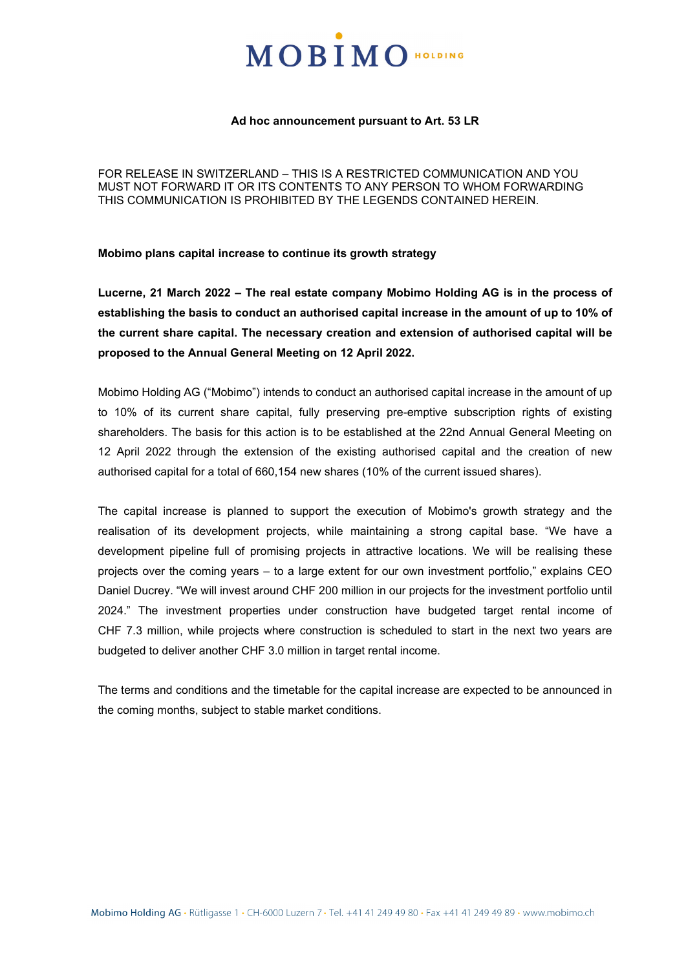# MOBIMO HOLDING

## **Ad hoc announcement pursuant to Art. 53 LR**

FOR RELEASE IN SWITZERLAND – THIS IS A RESTRICTED COMMUNICATION AND YOU MUST NOT FORWARD IT OR ITS CONTENTS TO ANY PERSON TO WHOM FORWARDING THIS COMMUNICATION IS PROHIBITED BY THE LEGENDS CONTAINED HEREIN.

**Mobimo plans capital increase to continue its growth strategy**

**Lucerne, 21 March 2022 – The real estate company Mobimo Holding AG is in the process of establishing the basis to conduct an authorised capital increase in the amount of up to 10% of the current share capital. The necessary creation and extension of authorised capital will be proposed to the Annual General Meeting on 12 April 2022.**

Mobimo Holding AG ("Mobimo") intends to conduct an authorised capital increase in the amount of up to 10% of its current share capital, fully preserving pre-emptive subscription rights of existing shareholders. The basis for this action is to be established at the 22nd Annual General Meeting on 12 April 2022 through the extension of the existing authorised capital and the creation of new authorised capital for a total of 660,154 new shares (10% of the current issued shares).

The capital increase is planned to support the execution of Mobimo's growth strategy and the realisation of its development projects, while maintaining a strong capital base. "We have a development pipeline full of promising projects in attractive locations. We will be realising these projects over the coming years – to a large extent for our own investment portfolio," explains CEO Daniel Ducrey. "We will invest around CHF 200 million in our projects for the investment portfolio until 2024." The investment properties under construction have budgeted target rental income of CHF 7.3 million, while projects where construction is scheduled to start in the next two years are budgeted to deliver another CHF 3.0 million in target rental income.

The terms and conditions and the timetable for the capital increase are expected to be announced in the coming months, subject to stable market conditions.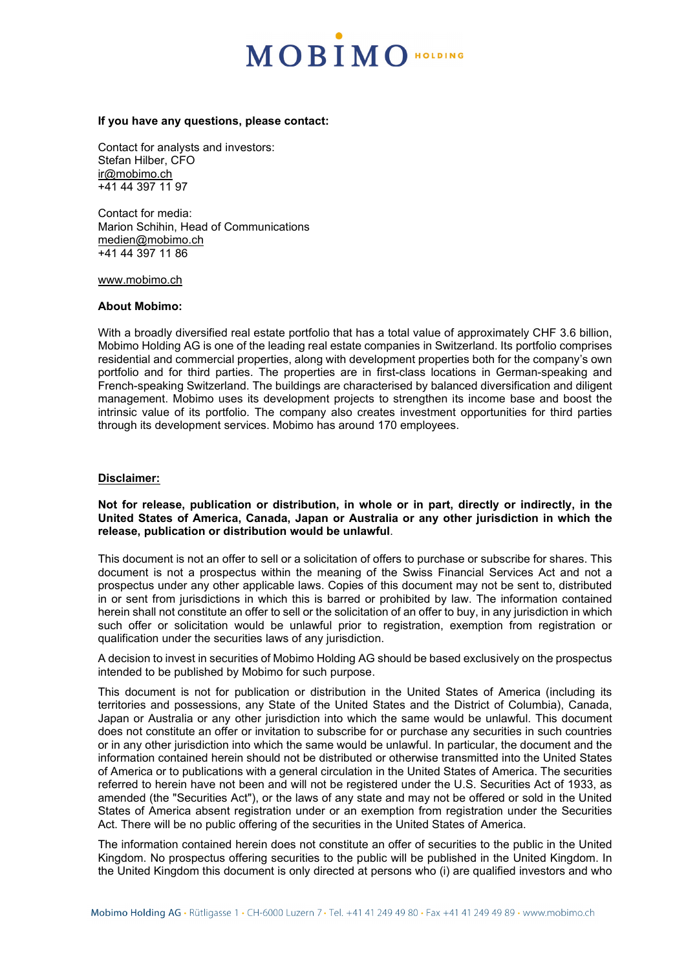# MOBIMO HOLDING

### **If you have any questions, please contact:**

Contact for analysts and investors: Stefan Hilber, CFO [ir@mobimo.ch](mailto:ir@mobimo.ch) +41 44 397 11 97

Contact for media: Marion Schihin, Head of Communications [medien@mobimo.ch](mailto:medien@mobimo.ch) +41 44 397 11 86

[www.mobimo.ch](http://www.mobimo.ch/) 

# **About Mobimo:**

With a broadly diversified real estate portfolio that has a total value of approximately CHF 3.6 billion, Mobimo Holding AG is one of the leading real estate companies in Switzerland. Its portfolio comprises residential and commercial properties, along with development properties both for the company's own portfolio and for third parties. The properties are in first-class locations in German-speaking and French-speaking Switzerland. The buildings are characterised by balanced diversification and diligent management. Mobimo uses its development projects to strengthen its income base and boost the intrinsic value of its portfolio. The company also creates investment opportunities for third parties through its development services. Mobimo has around 170 employees.

### **Disclaimer:**

## **Not for release, publication or distribution, in whole or in part, directly or indirectly, in the United States of America, Canada, Japan or Australia or any other jurisdiction in which the release, publication or distribution would be unlawful**.

This document is not an offer to sell or a solicitation of offers to purchase or subscribe for shares. This document is not a prospectus within the meaning of the Swiss Financial Services Act and not a prospectus under any other applicable laws. Copies of this document may not be sent to, distributed in or sent from jurisdictions in which this is barred or prohibited by law. The information contained herein shall not constitute an offer to sell or the solicitation of an offer to buy, in any jurisdiction in which such offer or solicitation would be unlawful prior to registration, exemption from registration or qualification under the securities laws of any jurisdiction.

A decision to invest in securities of Mobimo Holding AG should be based exclusively on the prospectus intended to be published by Mobimo for such purpose.

This document is not for publication or distribution in the United States of America (including its territories and possessions, any State of the United States and the District of Columbia), Canada, Japan or Australia or any other jurisdiction into which the same would be unlawful. This document does not constitute an offer or invitation to subscribe for or purchase any securities in such countries or in any other jurisdiction into which the same would be unlawful. In particular, the document and the information contained herein should not be distributed or otherwise transmitted into the United States of America or to publications with a general circulation in the United States of America. The securities referred to herein have not been and will not be registered under the U.S. Securities Act of 1933, as amended (the "Securities Act"), or the laws of any state and may not be offered or sold in the United States of America absent registration under or an exemption from registration under the Securities Act. There will be no public offering of the securities in the United States of America.

The information contained herein does not constitute an offer of securities to the public in the United Kingdom. No prospectus offering securities to the public will be published in the United Kingdom. In the United Kingdom this document is only directed at persons who (i) are qualified investors and who